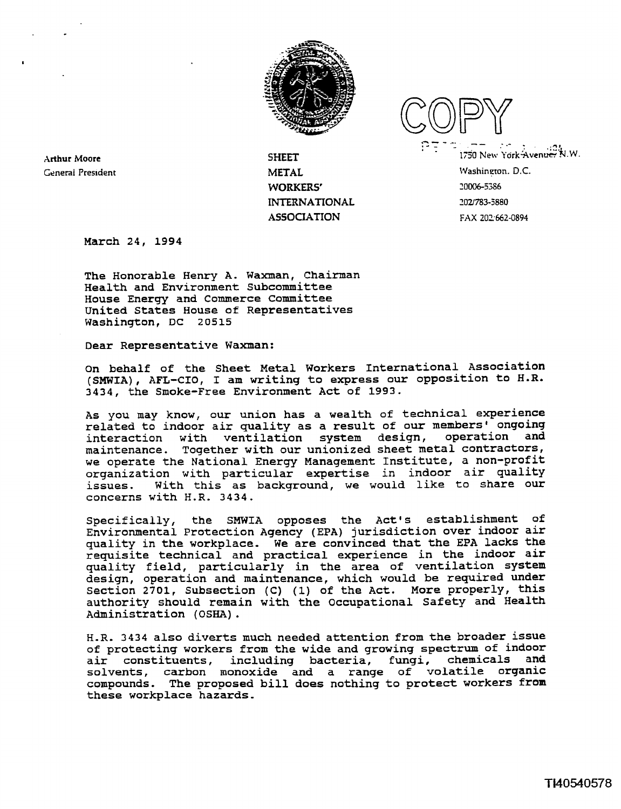

**Arthur Moore General President**  **SHEET METAL WORKERS' INTERNATIONAL ASSOCIATION FAX 202662-0894** 

 $1750$  New York Avenue, N.W. **Washineton.** D.C. **20006-5386**  *2021783-5880* 

**March 24, 1994** 

**The Honorable Henry A. Waxman, Chairman Health and Environment subcommittee House Energy and Commerce Committee United States House of Representatives Washington, DC 20515** 

**Dear Representative Waxman:** 

**On behalf of the Sheet Metal Workers International Association (SMWIA)** , **AFL-CIO, I am writing to express our opposition to H.R. 3434, the Smoke-Free Environment Act of 1993.** 

**As you may know, our union has a wealth of technical experience related to indoor air quality as a result of our members' ongoing interaction with ventilation system design, operation and maintenance. Together with our unionized sheet metal contractors, we operate the National Energy Management Institute, a non-profit organization with particular expertise in indoor air quality issues. With this as background, we would like to share our concerns with H.R. 3434.** 

**Specifically, the SMWIA opposes the Act's establishment of Environmental Protection Agency (EPA) jurisdiction over indoor air quality in the workplace. We are convinced that the EPA lacks the requisite technical and practical experience in the indoor air quality field, particularly in the area of ventilation system design, operation and maintenance, which would be required under Section 2701, Subsection (C) (1) of the Act. More properly, this authority should remain with the Occupational Safety and Health Administration (OSHA)** .

H.R. **3434 also diverts much needed attention from the broader issue of protecting workers from the wide and growing spectrum of indoor**  air constituents, including bacteria, **solvents, carbon monoxide and a range of volatile organic compounds. The proposed bill does nothing to protect workers from these workplace hazards.**